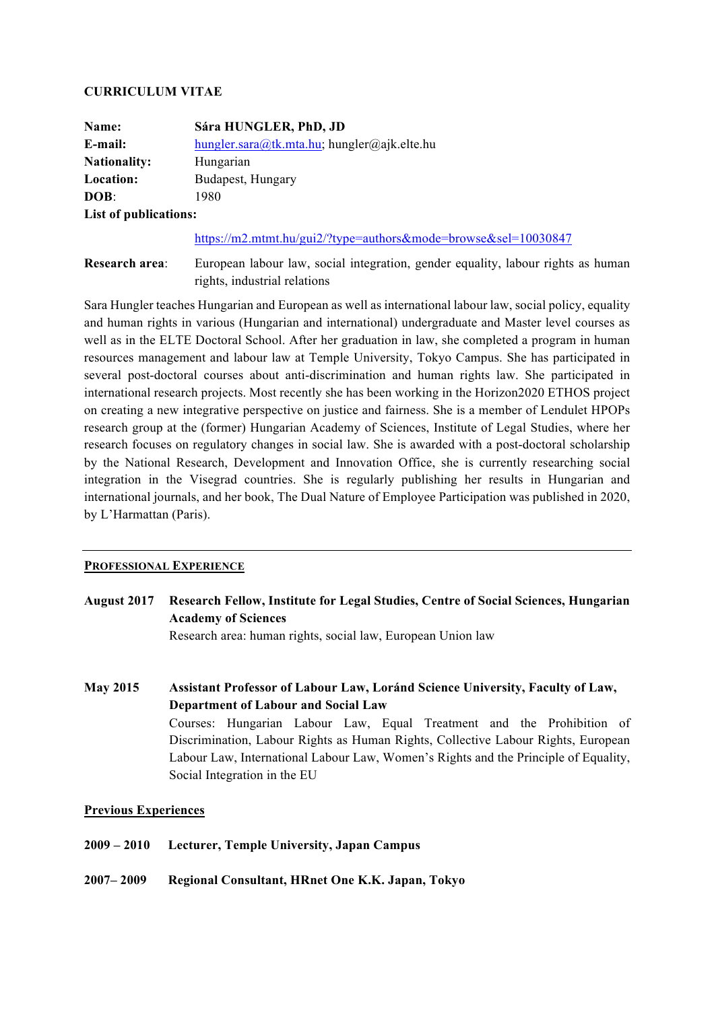### **CURRICULUM VITAE**

| Name:                 | Sára HUNGLER, PhD, JD                       |
|-----------------------|---------------------------------------------|
| E-mail:               | hungler.sara@tk.mta.hu; hungler@ajk.elte.hu |
| <b>Nationality:</b>   | Hungarian                                   |
| Location:             | Budapest, Hungary                           |
| DOB:                  | 1980                                        |
| List of publications: |                                             |

### https://m2.mtmt.hu/gui2/?type=authors&mode=browse&sel=10030847

**Research area:** European labour law, social integration, gender equality, labour rights as human rights, industrial relations

Sara Hungler teaches Hungarian and European as well as international labour law, social policy, equality and human rights in various (Hungarian and international) undergraduate and Master level courses as well as in the ELTE Doctoral School. After her graduation in law, she completed a program in human resources management and labour law at Temple University, Tokyo Campus. She has participated in several post-doctoral courses about anti-discrimination and human rights law. She participated in international research projects. Most recently she has been working in the Horizon2020 ETHOS project on creating a new integrative perspective on justice and fairness. She is a member of Lendulet HPOPs research group at the (former) Hungarian Academy of Sciences, Institute of Legal Studies, where her research focuses on regulatory changes in social law. She is awarded with a post-doctoral scholarship by the National Research, Development and Innovation Office, she is currently researching social integration in the Visegrad countries. She is regularly publishing her results in Hungarian and international journals, and her book, The Dual Nature of Employee Participation was published in 2020, by L'Harmattan (Paris).

### **PROFESSIONAL EXPERIENCE**

**August 2017 Research Fellow, Institute for Legal Studies, Centre of Social Sciences, Hungarian Academy of Sciences**

Research area: human rights, social law, European Union law

**May 2015 Assistant Professor of Labour Law, Loránd Science University, Faculty of Law, Department of Labour and Social Law** Courses: Hungarian Labour Law, Equal Treatment and the Prohibition of Discrimination, Labour Rights as Human Rights, Collective Labour Rights, European Labour Law, International Labour Law, Women's Rights and the Principle of Equality, Social Integration in the EU

# **Previous Experiences**

- **2009 – 2010 Lecturer, Temple University, Japan Campus**
- **2007– 2009 Regional Consultant, HRnet One K.K. Japan, Tokyo**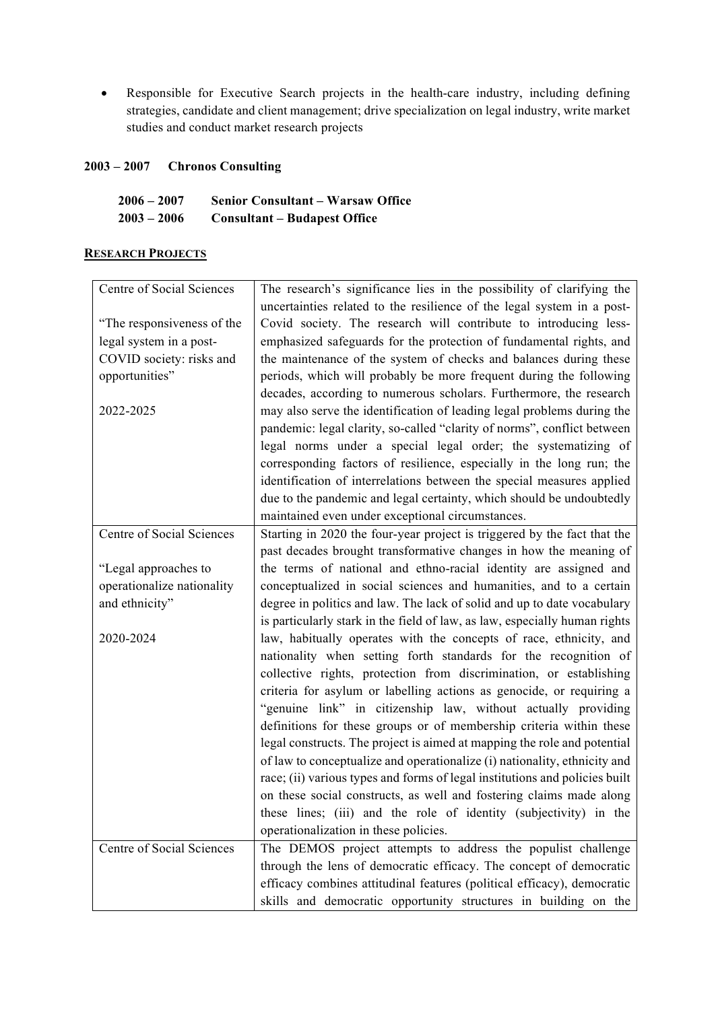• Responsible for Executive Search projects in the health-care industry, including defining strategies, candidate and client management; drive specialization on legal industry, write market studies and conduct market research projects

# **2003 – 2007 Chronos Consulting**

| $2006 - 2007$ | <b>Senior Consultant – Warsaw Office</b> |
|---------------|------------------------------------------|
| $2003 - 2006$ | <b>Consultant – Budapest Office</b>      |

## **RESEARCH PROJECTS**

| Centre of Social Sciences  | The research's significance lies in the possibility of clarifying the       |
|----------------------------|-----------------------------------------------------------------------------|
|                            | uncertainties related to the resilience of the legal system in a post-      |
| "The responsiveness of the | Covid society. The research will contribute to introducing less-            |
| legal system in a post-    | emphasized safeguards for the protection of fundamental rights, and         |
| COVID society: risks and   | the maintenance of the system of checks and balances during these           |
| opportunities"             | periods, which will probably be more frequent during the following          |
|                            | decades, according to numerous scholars. Furthermore, the research          |
| 2022-2025                  | may also serve the identification of leading legal problems during the      |
|                            | pandemic: legal clarity, so-called "clarity of norms", conflict between     |
|                            | legal norms under a special legal order; the systematizing of               |
|                            | corresponding factors of resilience, especially in the long run; the        |
|                            | identification of interrelations between the special measures applied       |
|                            | due to the pandemic and legal certainty, which should be undoubtedly        |
|                            | maintained even under exceptional circumstances.                            |
| Centre of Social Sciences  | Starting in 2020 the four-year project is triggered by the fact that the    |
|                            | past decades brought transformative changes in how the meaning of           |
| "Legal approaches to       | the terms of national and ethno-racial identity are assigned and            |
| operationalize nationality | conceptualized in social sciences and humanities, and to a certain          |
| and ethnicity"             | degree in politics and law. The lack of solid and up to date vocabulary     |
|                            | is particularly stark in the field of law, as law, especially human rights  |
| 2020-2024                  | law, habitually operates with the concepts of race, ethnicity, and          |
|                            | nationality when setting forth standards for the recognition of             |
|                            | collective rights, protection from discrimination, or establishing          |
|                            | criteria for asylum or labelling actions as genocide, or requiring a        |
|                            | "genuine link" in citizenship law, without actually providing               |
|                            | definitions for these groups or of membership criteria within these         |
|                            | legal constructs. The project is aimed at mapping the role and potential    |
|                            | of law to conceptualize and operationalize (i) nationality, ethnicity and   |
|                            | race; (ii) various types and forms of legal institutions and policies built |
|                            | on these social constructs, as well and fostering claims made along         |
|                            | these lines; (iii) and the role of identity (subjectivity) in the           |
|                            | operationalization in these policies.                                       |
| Centre of Social Sciences  | The DEMOS project attempts to address the populist challenge                |
|                            | through the lens of democratic efficacy. The concept of democratic          |
|                            | efficacy combines attitudinal features (political efficacy), democratic     |
|                            | skills and democratic opportunity structures in building on the             |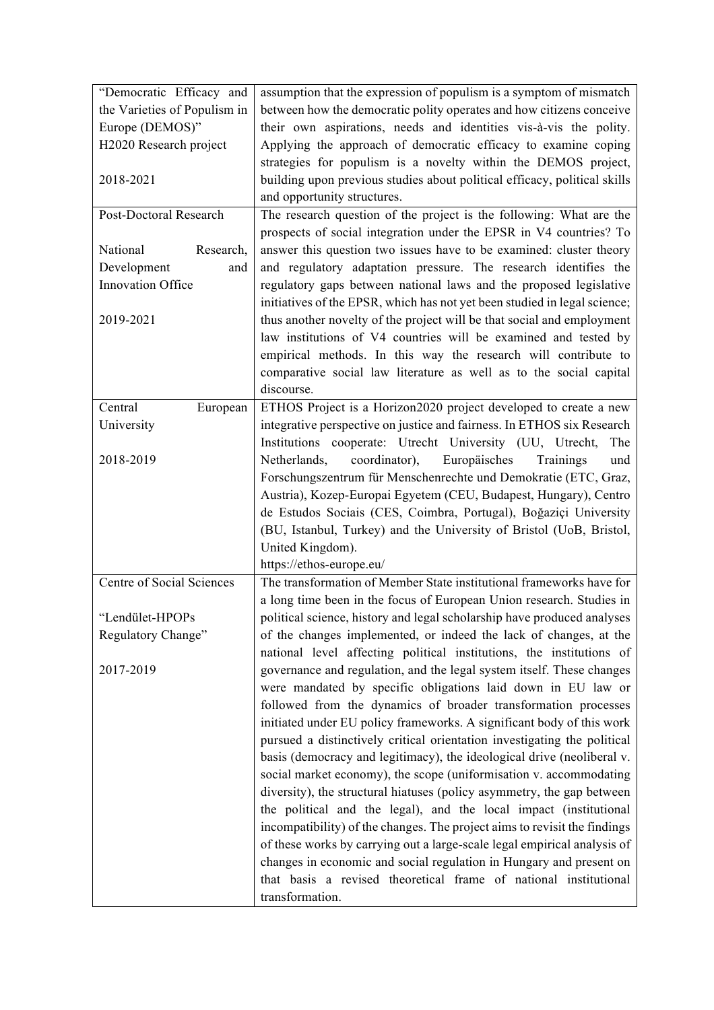| "Democratic Efficacy and         | assumption that the expression of populism is a symptom of mismatch       |
|----------------------------------|---------------------------------------------------------------------------|
| the Varieties of Populism in     | between how the democratic polity operates and how citizens conceive      |
| Europe (DEMOS)"                  | their own aspirations, needs and identities vis-à-vis the polity.         |
| H2020 Research project           | Applying the approach of democratic efficacy to examine coping            |
|                                  | strategies for populism is a novelty within the DEMOS project,            |
| 2018-2021                        | building upon previous studies about political efficacy, political skills |
|                                  | and opportunity structures.                                               |
| Post-Doctoral Research           | The research question of the project is the following: What are the       |
|                                  | prospects of social integration under the EPSR in V4 countries? To        |
| National<br>Research,            | answer this question two issues have to be examined: cluster theory       |
| Development<br>and               | and regulatory adaptation pressure. The research identifies the           |
| Innovation Office                | regulatory gaps between national laws and the proposed legislative        |
|                                  | initiatives of the EPSR, which has not yet been studied in legal science; |
| 2019-2021                        | thus another novelty of the project will be that social and employment    |
|                                  | law institutions of V4 countries will be examined and tested by           |
|                                  | empirical methods. In this way the research will contribute to            |
|                                  | comparative social law literature as well as to the social capital        |
|                                  | discourse.                                                                |
| Central<br>European              | ETHOS Project is a Horizon2020 project developed to create a new          |
|                                  | integrative perspective on justice and fairness. In ETHOS six Research    |
| University                       |                                                                           |
|                                  | Institutions cooperate: Utrecht University (UU, Utrecht,<br>The           |
| 2018-2019                        | Europäisches<br>Netherlands,<br>coordinator),<br>Trainings<br>und         |
|                                  | Forschungszentrum für Menschenrechte und Demokratie (ETC, Graz,           |
|                                  | Austria), Kozep-Europai Egyetem (CEU, Budapest, Hungary), Centro          |
|                                  | de Estudos Sociais (CES, Coimbra, Portugal), Boğaziçi University          |
|                                  | (BU, Istanbul, Turkey) and the University of Bristol (UoB, Bristol,       |
|                                  | United Kingdom).                                                          |
|                                  | https://ethos-europe.eu/                                                  |
| <b>Centre of Social Sciences</b> | The transformation of Member State institutional frameworks have for      |
|                                  | a long time been in the focus of European Union research. Studies in      |
| "Lendület-HPOPs                  | political science, history and legal scholarship have produced analyses   |
| Regulatory Change"               | of the changes implemented, or indeed the lack of changes, at the         |
|                                  | national level affecting political institutions, the institutions of      |
| 2017-2019                        | governance and regulation, and the legal system itself. These changes     |
|                                  | were mandated by specific obligations laid down in EU law or              |
|                                  | followed from the dynamics of broader transformation processes            |
|                                  | initiated under EU policy frameworks. A significant body of this work     |
|                                  | pursued a distinctively critical orientation investigating the political  |
|                                  | basis (democracy and legitimacy), the ideological drive (neoliberal v.    |
|                                  | social market economy), the scope (uniformisation v. accommodating        |
|                                  | diversity), the structural hiatuses (policy asymmetry, the gap between    |
|                                  | the political and the legal), and the local impact (institutional         |
|                                  | incompatibility) of the changes. The project aims to revisit the findings |
|                                  | of these works by carrying out a large-scale legal empirical analysis of  |
|                                  | changes in economic and social regulation in Hungary and present on       |
|                                  | that basis a revised theoretical frame of national institutional          |
|                                  | transformation.                                                           |
|                                  |                                                                           |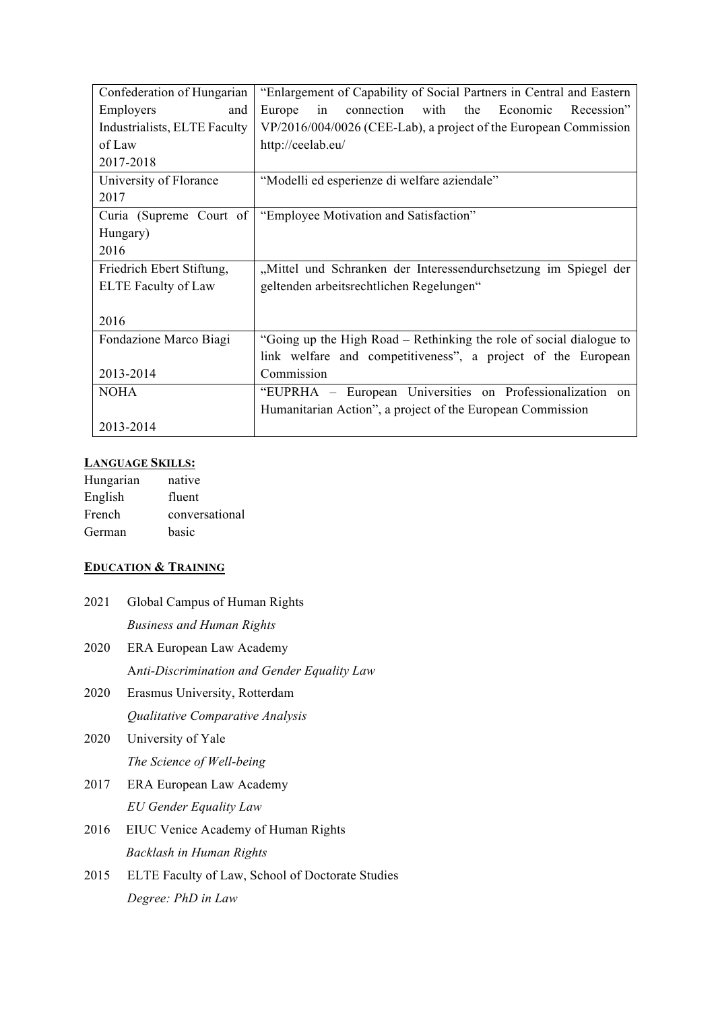| Confederation of Hungarian   | "Enlargement of Capability of Social Partners in Central and Eastern |
|------------------------------|----------------------------------------------------------------------|
| Employers<br>and             | connection with the<br>Economic<br>Europe<br>in<br>Recession"        |
| Industrialists, ELTE Faculty | VP/2016/004/0026 (CEE-Lab), a project of the European Commission     |
| of Law                       | http://ceelab.eu/                                                    |
| 2017-2018                    |                                                                      |
| University of Florance       | "Modelli ed esperienze di welfare aziendale"                         |
| 2017                         |                                                                      |
| Curia (Supreme Court of      | "Employee Motivation and Satisfaction"                               |
| Hungary)                     |                                                                      |
| 2016                         |                                                                      |
| Friedrich Ebert Stiftung,    | "Mittel und Schranken der Interessendurchsetzung im Spiegel der      |
| <b>ELTE</b> Faculty of Law   | geltenden arbeitsrechtlichen Regelungen"                             |
|                              |                                                                      |
| 2016                         |                                                                      |
| Fondazione Marco Biagi       | "Going up the High Road – Rethinking the role of social dialogue to  |
|                              | link welfare and competitiveness", a project of the European         |
| 2013-2014                    | Commission                                                           |
| <b>NOHA</b>                  | "EUPRHA – European Universities on Professionalization on            |
|                              | Humanitarian Action", a project of the European Commission           |
| 2013-2014                    |                                                                      |

# **LANGUAGE SKILLS:**

| Hungarian | native         |
|-----------|----------------|
| English   | fluent         |
| French    | conversational |
| German    | basic          |

# **EDUCATION & TRAINING**

| 2021 | Global Campus of Human Rights                    |
|------|--------------------------------------------------|
|      | <b>Business and Human Rights</b>                 |
| 2020 | ERA European Law Academy                         |
|      | Anti-Discrimination and Gender Equality Law      |
| 2020 | Erasmus University, Rotterdam                    |
|      | Qualitative Comparative Analysis                 |
| 2020 | University of Yale                               |
|      | The Science of Well-being                        |
| 2017 | ERA European Law Academy                         |
|      | EU Gender Equality Law                           |
| 2016 | EIUC Venice Academy of Human Rights              |
|      | Backlash in Human Rights                         |
| 2015 | ELTE Faculty of Law, School of Doctorate Studies |
|      | Degree: PhD in Law                               |
|      |                                                  |